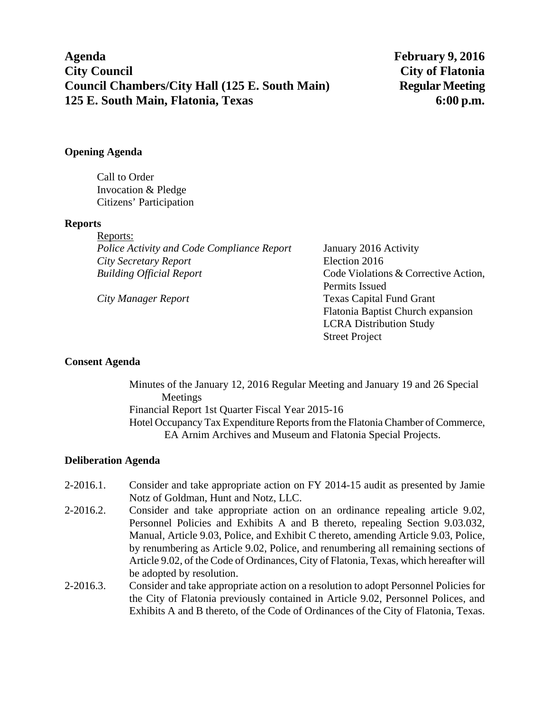**Agenda February 9, 2016 City Council City of Flatonia Council Chambers/City Hall (125 E. South Main) Regular Meeting 125 E. South Main, Flatonia, Texas 6:00 p.m.** 

### **Opening Agenda**

Call to Order Invocation & Pledge Citizens' Participation

### **Reports**

| Reports:                                          |  |
|---------------------------------------------------|--|
| <b>Police Activity and Code Compliance Report</b> |  |
| City Secretary Report                             |  |
| <b>Building Official Report</b>                   |  |
|                                                   |  |

*Police Activity and Code Compliance Report* January 2016 Activity *City Secretary Report* Election 2016 Code Violations & Corrective Action, Permits Issued *City Manager Report* Texas Capital Fund Grant Flatonia Baptist Church expansion LCRA Distribution Study Street Project

### **Consent Agenda**

Minutes of the January 12, 2016 Regular Meeting and January 19 and 26 Special Meetings Financial Report 1st Quarter Fiscal Year 2015-16 Hotel Occupancy Tax Expenditure Reports from the Flatonia Chamber of Commerce, EA Arnim Archives and Museum and Flatonia Special Projects.

### **Deliberation Agenda**

- 2-2016.1. Consider and take appropriate action on FY 2014-15 audit as presented by Jamie Notz of Goldman, Hunt and Notz, LLC.
- 2-2016.2. Consider and take appropriate action on an ordinance repealing article 9.02, Personnel Policies and Exhibits A and B thereto, repealing Section 9.03.032, Manual, Article 9.03, Police, and Exhibit C thereto, amending Article 9.03, Police, by renumbering as Article 9.02, Police, and renumbering all remaining sections of Article 9.02, of the Code of Ordinances, City of Flatonia, Texas, which hereafter will be adopted by resolution.
- 2-2016.3. Consider and take appropriate action on a resolution to adopt Personnel Policies for the City of Flatonia previously contained in Article 9.02, Personnel Polices, and Exhibits A and B thereto, of the Code of Ordinances of the City of Flatonia, Texas.